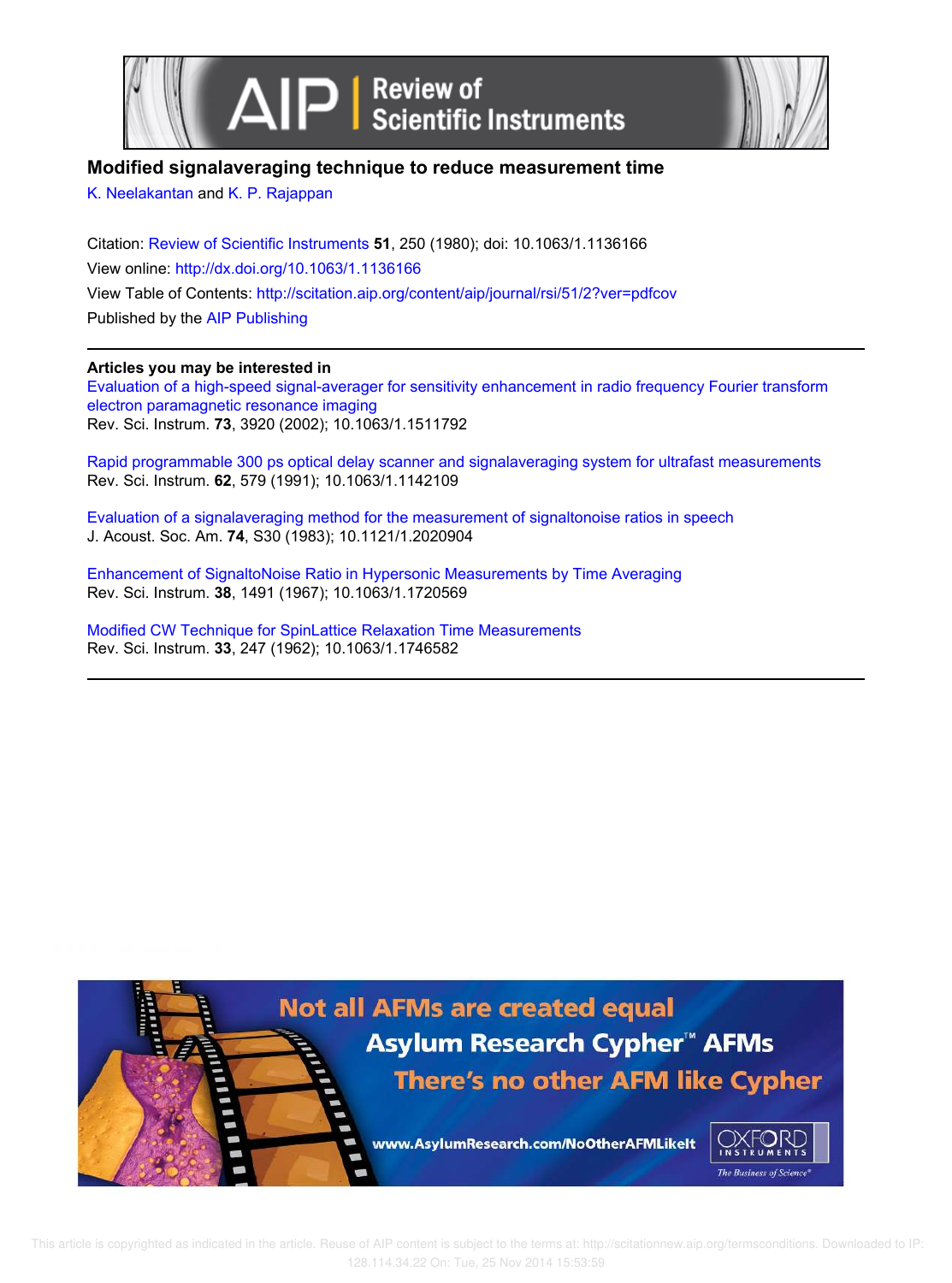

## **Modified signalaveraging technique to reduce measurement time**

K. Neelakantan and K. P. Rajappan

Citation: Review of Scientific Instruments **51**, 250 (1980); doi: 10.1063/1.1136166 View online: http://dx.doi.org/10.1063/1.1136166 View Table of Contents: http://scitation.aip.org/content/aip/journal/rsi/51/2?ver=pdfcov Published by the AIP Publishing

### **Articles you may be interested in**

Evaluation of a high-speed signal-averager for sensitivity enhancement in radio frequency Fourier transform electron paramagnetic resonance imaging Rev. Sci. Instrum. **73**, 3920 (2002); 10.1063/1.1511792

Rapid programmable 300 ps optical delay scanner and signalaveraging system for ultrafast measurements Rev. Sci. Instrum. **62**, 579 (1991); 10.1063/1.1142109

Evaluation of a signalaveraging method for the measurement of signaltonoise ratios in speech J. Acoust. Soc. Am. **74**, S30 (1983); 10.1121/1.2020904

Enhancement of SignaltoNoise Ratio in Hypersonic Measurements by Time Averaging Rev. Sci. Instrum. **38**, 1491 (1967); 10.1063/1.1720569

Modified CW Technique for SpinLattice Relaxation Time Measurements Rev. Sci. Instrum. **33**, 247 (1962); 10.1063/1.1746582

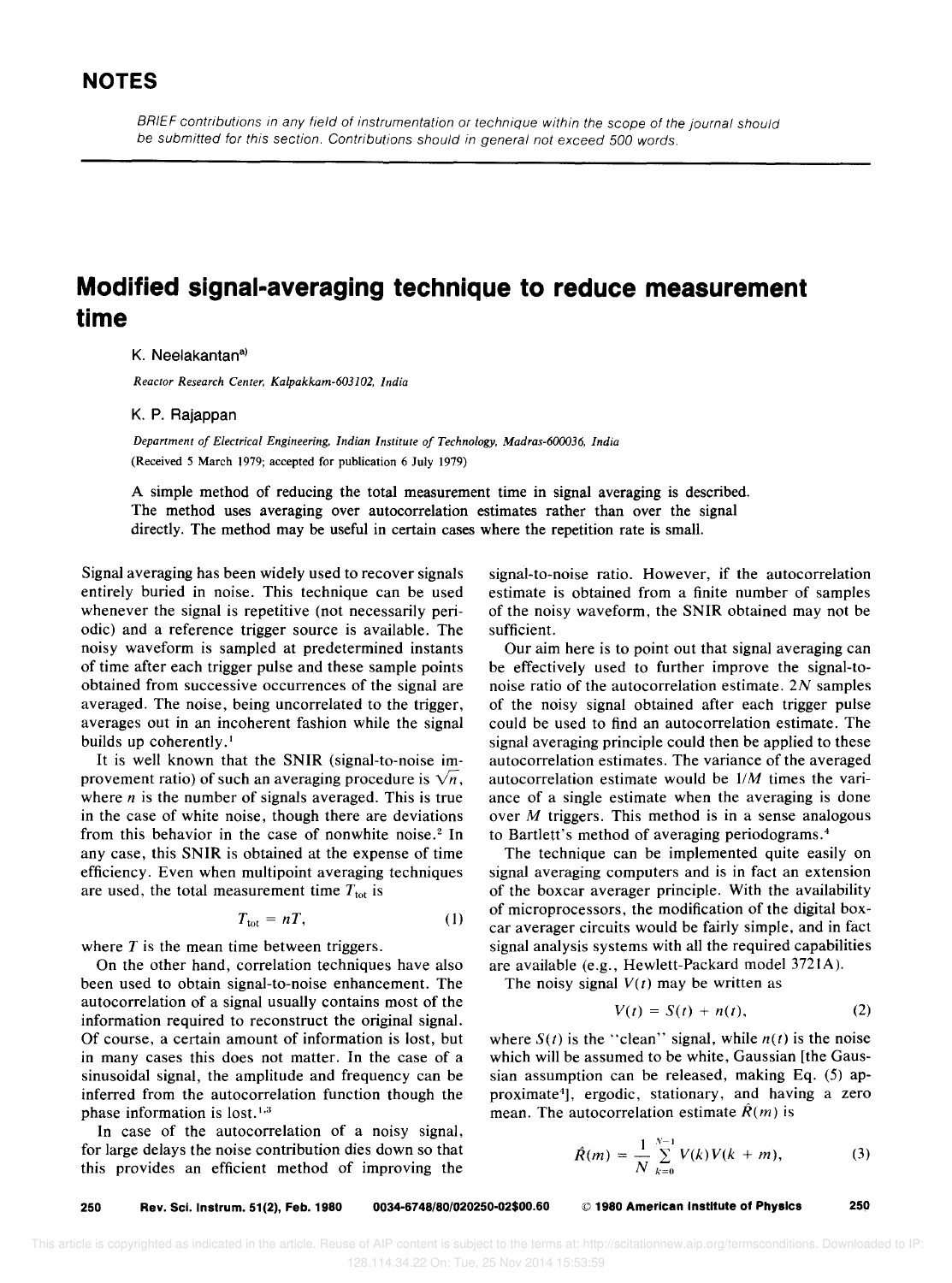BRIEF contributions in any field of instrumentation or technique within the scope of the journal should be submitted for this section. Contributions should in general not exceed 500 words.

# **Modified signal-averaging technique to reduce measurement time**

K. Neelakantan<sup>a)</sup>

*Reactor Research Center, Kalpakkam-603I02, India* 

#### K. P. Rajappan

*Department of Electrical Engineering, Indian Institute of Technology, Madras-600036, India*  (Received 5 March 1979; accepted for publication 6 July 1979)

A simple method of reducing the total measurement time in signal averaging is described. The method uses averaging over autocorrelation estimates rather than over the signal directly. The method may be useful in certain cases where the repetition rate is small.

Signal averaging has been widely used to recover signals entirely buried in noise. This technique can be used whenever the signal is repetitive (not necessarily periodic) and a reference trigger source is available. The noisy waveform is sampled at predetermined instants of time after each trigger pulse and these sample points obtained from successive occurrences of the signal are averaged. The noise, being uncorrelated to the trigger, averages out in an incoherent fashion while the signal builds up coherently.<sup>1</sup>

It is well known that the SNIR (signal-to-noise improvement ratio) of such an averaging procedure is  $\sqrt{n}$ , where  $n$  is the number of signals averaged. This is true in the case of white noise, though there are deviations from this behavior in the case of nonwhite noise.<sup>2</sup> In any case, this SNIR is obtained at the expense of time efficiency. Even when multipoint averaging techniques are used, the total measurement time  $T_{\text{tot}}$  is

$$
T_{\rm tot} = nT, \tag{1}
$$

where  $T$  is the mean time between triggers.

On the other hand, correlation techniques have also been used to obtain signal-to-noise enhancement. The autocorrelation of a signal usually contains most of the information required to reconstruct the original signal. Of course, a certain amount of information is lost, but in many cases this does not matter. In the case of a sinusoidal signal, the amplitude and frequency can be inferred from the autocorrelation function though the phase information is  $lost.^{1,3}$ 

In case of the autocorrelation of a noisy signal, for large delays the noise contribution dies down so that this provides an efficient method of improving the

signal-to-noise ratio. However, if the autocorrelation estimate is obtained from a finite number of samples of the noisy waveform, the SNIR obtained may not be sufficient.

Our aim here is to point out that signal averaging can be effectively used to further improve the signal-tonoise ratio of the autocorrelation estimate. *2N* samples of the noisy signal obtained after each trigger pulse could be used to find an autocorrelation estimate. The signal averaging principle could then be applied to these autocorrelation estimates. The variance of the averaged autocorrelation estimate would be  $1/M$  times the variance of a single estimate when the averaging is done over *M* triggers. This method is in a sense analogous to Bartlett's method of averaging periodograms. <sup>4</sup>

The technique can be implemented quite easily on signal averaging computers and is in fact an extension of the boxcar averager principle. With the availability of microprocessors, the modification of the digital boxcar averager circuits would be fairly simple, and in fact signal analysis systems with all the required capabilities are available (e.g., Hewlett-Packard model 372IA).

The noisy signal  $V(t)$  may be written as

$$
V(t) = S(t) + n(t), \qquad (2)
$$

where  $S(t)$  is the "clean" signal, while  $n(t)$  is the noise which will be assumed to be white, Gaussian [the Gaussian assumption can be released, making Eq. (5) approximate<sup>4</sup> ], ergodic, stationary, and having a zero mean. The autocorrelation estimate  $\hat{R}(m)$  is

$$
\hat{R}(m) = \frac{1}{N} \sum_{k=0}^{N-1} V(k) V(k+m), \qquad (3)
$$

250 Rev. Sci. Instrum. 51(2), Feb. 1980 0034-6748/80/020250-02\$00.60 © 1980 American Institute of Physics 250